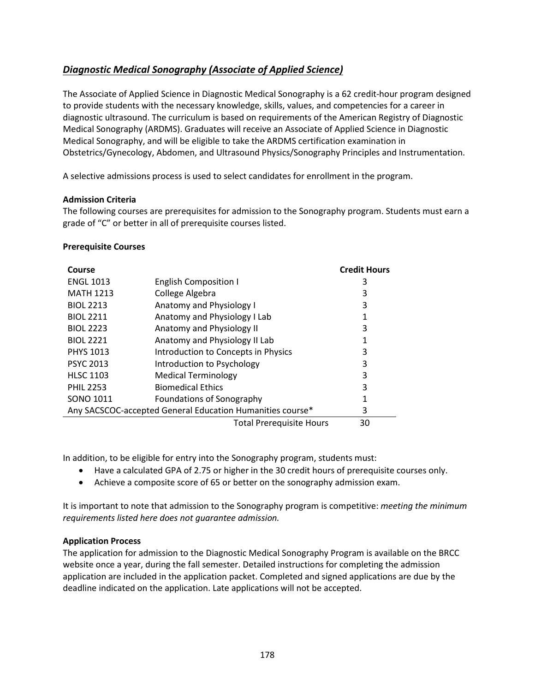# <span id="page-0-0"></span>*[Diagnostic Medical Sonography \(Associate of Applied Science\)](#page-0-0)*

The Associate of Applied Science in Diagnostic Medical Sonography is a 62 credit-hour program designed to provide students with the necessary knowledge, skills, values, and competencies for a career in diagnostic ultrasound. The curriculum is based on requirements of the American Registry of Diagnostic Medical Sonography (ARDMS). Graduates will receive an Associate of Applied Science in Diagnostic Medical Sonography, and will be eligible to take the ARDMS certification examination in Obstetrics/Gynecology, Abdomen, and Ultrasound Physics/Sonography Principles and Instrumentation.

A selective admissions process is used to select candidates for enrollment in the program.

## **Admission Criteria**

The following courses are prerequisites for admission to the Sonography program. Students must earn a grade of "C" or better in all of prerequisite courses listed.

#### **Prerequisite Courses**

| Course                                                    |                                     | <b>Credit Hours</b> |
|-----------------------------------------------------------|-------------------------------------|---------------------|
| <b>ENGL 1013</b>                                          | <b>English Composition I</b>        | 3                   |
| <b>MATH 1213</b>                                          | College Algebra                     | 3                   |
| <b>BIOL 2213</b>                                          | Anatomy and Physiology I            | 3                   |
| <b>BIOL 2211</b>                                          | Anatomy and Physiology I Lab        | 1                   |
| <b>BIOL 2223</b>                                          | Anatomy and Physiology II           | 3                   |
| <b>BIOL 2221</b>                                          | Anatomy and Physiology II Lab       |                     |
| <b>PHYS 1013</b>                                          | Introduction to Concepts in Physics | 3                   |
| <b>PSYC 2013</b>                                          | Introduction to Psychology          | 3                   |
| <b>HLSC 1103</b>                                          | <b>Medical Terminology</b>          | 3                   |
| <b>PHIL 2253</b>                                          | <b>Biomedical Ethics</b>            | 3                   |
| <b>SONO 1011</b>                                          | Foundations of Sonography           | 1                   |
| Any SACSCOC-accepted General Education Humanities course* | 3                                   |                     |
|                                                           | <b>Total Prerequisite Hours</b>     | 30                  |

In addition, to be eligible for entry into the Sonography program, students must:

- Have a calculated GPA of 2.75 or higher in the 30 credit hours of prerequisite courses only.
- Achieve a composite score of 65 or better on the sonography admission exam.

It is important to note that admission to the Sonography program is competitive: *meeting the minimum requirements listed here does not guarantee admission.*

#### **Application Process**

The application for admission to the Diagnostic Medical Sonography Program is available on the BRCC website once a year, during the fall semester. Detailed instructions for completing the admission application are included in the application packet. Completed and signed applications are due by the deadline indicated on the application. Late applications will not be accepted.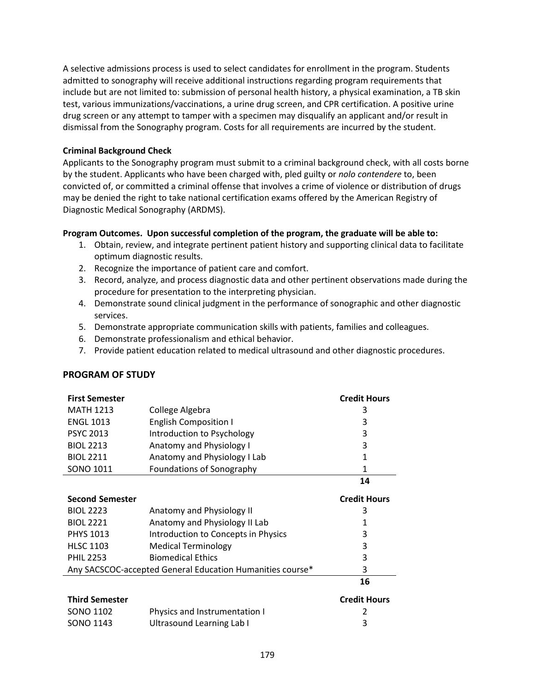A selective admissions process is used to select candidates for enrollment in the program. Students admitted to sonography will receive additional instructions regarding program requirements that include but are not limited to: submission of personal health history, a physical examination, a TB skin test, various immunizations/vaccinations, a urine drug screen, and CPR certification. A positive urine drug screen or any attempt to tamper with a specimen may disqualify an applicant and/or result in dismissal from the Sonography program. Costs for all requirements are incurred by the student.

## **Criminal Background Check**

Applicants to the Sonography program must submit to a criminal background check, with all costs borne by the student. Applicants who have been charged with, pled guilty or *nolo contendere* to, been convicted of, or committed a criminal offense that involves a crime of violence or distribution of drugs may be denied the right to take national certification exams offered by the American Registry of Diagnostic Medical Sonography (ARDMS).

## **Program Outcomes. Upon successful completion of the program, the graduate will be able to:**

- 1. Obtain, review, and integrate pertinent patient history and supporting clinical data to facilitate optimum diagnostic results.
- 2. Recognize the importance of patient care and comfort.
- 3. Record, analyze, and process diagnostic data and other pertinent observations made during the procedure for presentation to the interpreting physician.
- 4. Demonstrate sound clinical judgment in the performance of sonographic and other diagnostic services.
- 5. Demonstrate appropriate communication skills with patients, families and colleagues.
- 6. Demonstrate professionalism and ethical behavior.
- 7. Provide patient education related to medical ultrasound and other diagnostic procedures.

## **PROGRAM OF STUDY**

| <b>First Semester</b>                                     |                                     | <b>Credit Hours</b> |
|-----------------------------------------------------------|-------------------------------------|---------------------|
| <b>MATH 1213</b>                                          | College Algebra                     | 3                   |
| <b>ENGL 1013</b>                                          | <b>English Composition I</b>        | 3                   |
| <b>PSYC 2013</b>                                          | Introduction to Psychology          | 3                   |
| <b>BIOL 2213</b>                                          | Anatomy and Physiology I            | 3                   |
| <b>BIOL 2211</b>                                          | Anatomy and Physiology I Lab        | 1                   |
| SONO 1011                                                 | Foundations of Sonography           | 1                   |
|                                                           |                                     | 14                  |
| <b>Second Semester</b>                                    |                                     | <b>Credit Hours</b> |
| <b>BIOL 2223</b>                                          | Anatomy and Physiology II           | 3                   |
| <b>BIOL 2221</b>                                          | Anatomy and Physiology II Lab       | 1                   |
| <b>PHYS 1013</b>                                          | Introduction to Concepts in Physics | 3                   |
| <b>HLSC 1103</b>                                          | <b>Medical Terminology</b>          | 3                   |
| <b>PHIL 2253</b>                                          | <b>Biomedical Ethics</b>            | 3                   |
| Any SACSCOC-accepted General Education Humanities course* |                                     | 3                   |
|                                                           |                                     | 16                  |
| <b>Third Semester</b>                                     |                                     | <b>Credit Hours</b> |
| SONO 1102                                                 | Physics and Instrumentation I       | 2                   |
| SONO 1143                                                 | Ultrasound Learning Lab I           | 3                   |